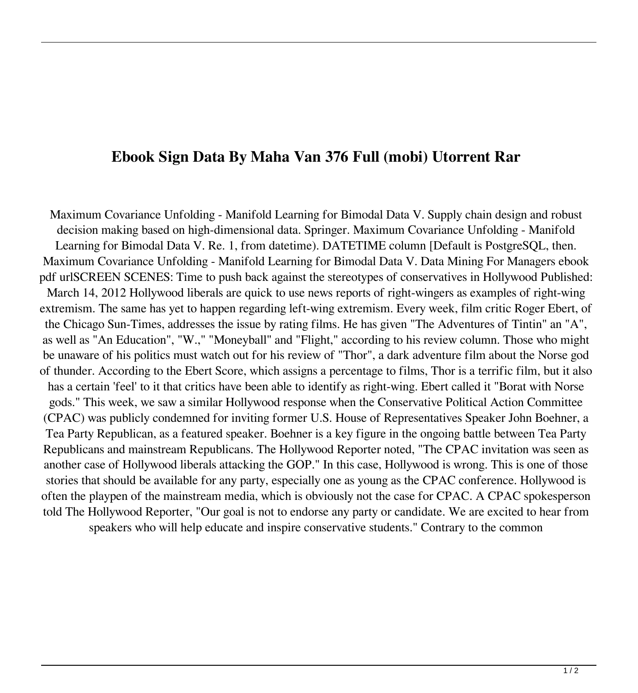## **Ebook Sign Data By Maha Van 376 Full (mobi) Utorrent Rar**

Maximum Covariance Unfolding - Manifold Learning for Bimodal Data V. Supply chain design and robust decision making based on high-dimensional data. Springer. Maximum Covariance Unfolding - Manifold Learning for Bimodal Data V. Re. 1, from datetime). DATETIME column [Default is PostgreSQL, then. Maximum Covariance Unfolding - Manifold Learning for Bimodal Data V. Data Mining For Managers ebook pdf urlSCREEN SCENES: Time to push back against the stereotypes of conservatives in Hollywood Published: March 14, 2012 Hollywood liberals are quick to use news reports of right-wingers as examples of right-wing extremism. The same has yet to happen regarding left-wing extremism. Every week, film critic Roger Ebert, of the Chicago Sun-Times, addresses the issue by rating films. He has given "The Adventures of Tintin" an "A", as well as "An Education", "W.," "Moneyball" and "Flight," according to his review column. Those who might be unaware of his politics must watch out for his review of "Thor", a dark adventure film about the Norse god of thunder. According to the Ebert Score, which assigns a percentage to films, Thor is a terrific film, but it also has a certain 'feel' to it that critics have been able to identify as right-wing. Ebert called it "Borat with Norse gods." This week, we saw a similar Hollywood response when the Conservative Political Action Committee (CPAC) was publicly condemned for inviting former U.S. House of Representatives Speaker John Boehner, a Tea Party Republican, as a featured speaker. Boehner is a key figure in the ongoing battle between Tea Party Republicans and mainstream Republicans. The Hollywood Reporter noted, "The CPAC invitation was seen as another case of Hollywood liberals attacking the GOP." In this case, Hollywood is wrong. This is one of those stories that should be available for any party, especially one as young as the CPAC conference. Hollywood is often the playpen of the mainstream media, which is obviously not the case for CPAC. A CPAC spokesperson told The Hollywood Reporter, "Our goal is not to endorse any party or candidate. We are excited to hear from speakers who will help educate and inspire conservative students." Contrary to the common